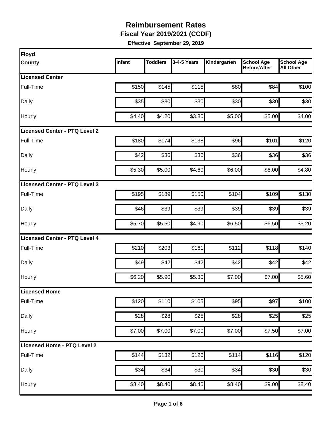**Fiscal Year 2019/2021 (CCDF)** 

| Infant | <b>Toddlers</b> | 3-4-5 Years             | Kindergarten                                                                                                                               | <b>School Age</b><br><b>Before/After</b> | <b>School Age</b><br><b>All Other</b>                                                                                     |
|--------|-----------------|-------------------------|--------------------------------------------------------------------------------------------------------------------------------------------|------------------------------------------|---------------------------------------------------------------------------------------------------------------------------|
|        |                 |                         |                                                                                                                                            |                                          |                                                                                                                           |
| \$150  |                 | \$115                   | \$80                                                                                                                                       | \$84                                     | \$100                                                                                                                     |
| \$35   |                 | \$30                    |                                                                                                                                            | \$30                                     | \$30                                                                                                                      |
| \$4.40 |                 | \$3.80                  |                                                                                                                                            | \$5.00                                   | \$4.00                                                                                                                    |
|        |                 |                         |                                                                                                                                            |                                          |                                                                                                                           |
| \$180  |                 | \$138                   |                                                                                                                                            | \$101                                    | \$120                                                                                                                     |
| \$42   |                 | \$36                    | \$36                                                                                                                                       | \$36                                     | \$36                                                                                                                      |
| \$5.30 |                 | \$4.60                  |                                                                                                                                            |                                          | \$4.80                                                                                                                    |
|        |                 |                         |                                                                                                                                            |                                          |                                                                                                                           |
| \$195  |                 | \$150                   | \$104                                                                                                                                      | \$109                                    | \$130                                                                                                                     |
| \$46   |                 | \$39                    |                                                                                                                                            |                                          | \$39                                                                                                                      |
| \$5.70 | \$5.50          | \$4.90                  | \$6.50                                                                                                                                     | \$6.50                                   | \$5.20                                                                                                                    |
|        |                 |                         |                                                                                                                                            |                                          |                                                                                                                           |
| \$210  |                 | \$161                   | \$112                                                                                                                                      | \$118                                    | \$140                                                                                                                     |
| \$49   |                 | \$42                    | \$42                                                                                                                                       | \$42                                     | \$42                                                                                                                      |
|        |                 | \$5.30                  |                                                                                                                                            |                                          | \$5.60                                                                                                                    |
|        |                 |                         |                                                                                                                                            |                                          |                                                                                                                           |
|        |                 | \$105                   | \$95                                                                                                                                       | \$97                                     | \$100                                                                                                                     |
|        |                 | \$25                    |                                                                                                                                            |                                          | \$25                                                                                                                      |
| \$7.00 |                 | \$7.00                  |                                                                                                                                            | \$7.50                                   | \$7.00                                                                                                                    |
|        |                 |                         |                                                                                                                                            |                                          |                                                                                                                           |
| \$144  |                 |                         | \$114                                                                                                                                      |                                          | \$120                                                                                                                     |
| \$34   |                 | \$30                    | \$34                                                                                                                                       |                                          | \$30                                                                                                                      |
| \$8.40 | \$8.40          | \$8.40                  | \$8.40                                                                                                                                     | \$9.00                                   | \$8.40                                                                                                                    |
|        |                 | \$6.20<br>\$120<br>\$28 | \$145<br>\$30<br>\$4.20<br>\$174<br>\$36<br>\$5.00<br>\$189<br>\$39<br>\$203<br>\$42<br>\$5.90<br>\$110<br>\$28<br>\$7.00<br>\$132<br>\$34 | \$126                                    | \$30<br>\$5.00<br>\$96<br>\$6.00<br>\$6.00<br>\$39<br>\$39<br>\$7.00<br>\$7.00<br>\$28<br>\$25<br>\$7.00<br>\$116<br>\$30 |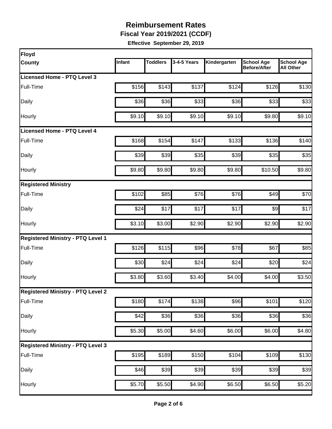**Fiscal Year 2019/2021 (CCDF)** 

| Floyd                                    |        |                 |             |                    |                                          |                                       |
|------------------------------------------|--------|-----------------|-------------|--------------------|------------------------------------------|---------------------------------------|
| <b>County</b>                            | Infant | <b>Toddlers</b> | 3-4-5 Years | Kindergarten       | <b>School Age</b><br><b>Before/After</b> | <b>School Age</b><br><b>All Other</b> |
| <b>Licensed Home - PTQ Level 3</b>       |        |                 |             |                    |                                          |                                       |
| Full-Time                                | \$156  | \$143           | \$137       | \$124              | \$126                                    | \$130                                 |
| Daily                                    | \$36   | \$36            | \$33        | \$36               | \$33                                     | \$33                                  |
| Hourly                                   | \$9.10 | \$9.10          | \$9.10      | \$9.10             | \$9.80                                   | \$9.10                                |
| Licensed Home - PTQ Level 4              |        |                 |             |                    |                                          |                                       |
| Full-Time                                | \$168  | \$154           | \$147       | \$133              | \$136                                    | \$140                                 |
| Daily                                    | \$39   | \$39            | \$35        | \$39               | \$35                                     | \$35                                  |
| Hourly                                   | \$9.80 | \$9.80          | \$9.80      | \$9.80             | \$10.50                                  | \$9.80                                |
| <b>Registered Ministry</b>               |        |                 |             |                    |                                          |                                       |
| Full-Time                                | \$102  | \$85            | \$76        | \$76               | \$49                                     | \$70                                  |
| Daily                                    | \$24   | \$17            | \$17        | \$17               | \$9                                      | \$17                                  |
| Hourly                                   | \$3.10 | \$3.00          | \$2.90      | \$2.90             | \$2.90                                   | \$2.90                                |
| <b>Registered Ministry - PTQ Level 1</b> |        |                 |             |                    |                                          |                                       |
| Full-Time                                | \$126  | \$115           | \$96        | \$78               | \$67                                     | \$85                                  |
| Daily                                    | \$30   | \$24            | \$24        | \$24               | \$20                                     | \$24                                  |
| Hourly                                   | \$3.80 | \$3.60          | \$3.40      | \$4.00             | \$4.00                                   | \$3.50                                |
| <b>Registered Ministry - PTQ Level 2</b> |        |                 |             |                    |                                          |                                       |
| Full-Time                                | \$180  | \$174           | \$138       | \$96               | \$101                                    | \$120                                 |
| Daily                                    | \$42   | \$36            | \$36        | \$36               | \$36                                     | \$36                                  |
| Hourly                                   | \$5.30 | \$5.00          | \$4.60      | \$6.00             | \$6.00                                   | \$4.80                                |
| <b>Registered Ministry - PTQ Level 3</b> |        |                 |             |                    |                                          |                                       |
| Full-Time                                | \$195  | \$189           | \$150       | \$104              | \$109                                    | \$130                                 |
| Daily                                    | \$46   | \$39            | \$39        | \$39               | \$39                                     | \$39                                  |
| Hourly                                   | \$5.70 | \$5.50          | \$4.90      | $\overline{$6.50}$ | \$6.50                                   | \$5.20                                |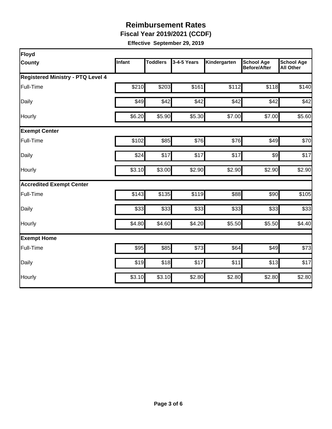**Fiscal Year 2019/2021 (CCDF)** 

| Floyd                                    |        |                 |             |              |                                          |                                       |  |  |  |
|------------------------------------------|--------|-----------------|-------------|--------------|------------------------------------------|---------------------------------------|--|--|--|
| <b>County</b>                            | Infant | <b>Toddlers</b> | 3-4-5 Years | Kindergarten | <b>School Age</b><br><b>Before/After</b> | <b>School Age</b><br><b>All Other</b> |  |  |  |
| <b>Registered Ministry - PTQ Level 4</b> |        |                 |             |              |                                          |                                       |  |  |  |
| Full-Time                                | \$210  | \$203           | \$161       | \$112        | \$118                                    | \$140                                 |  |  |  |
| Daily                                    | \$49   | \$42            | \$42        | \$42         | \$42                                     | \$42                                  |  |  |  |
| Hourly                                   | \$6.20 | \$5.90          | \$5.30      | \$7.00       | \$7.00                                   | \$5.60                                |  |  |  |
| <b>Exempt Center</b>                     |        |                 |             |              |                                          |                                       |  |  |  |
| Full-Time                                | \$102  | \$85            | \$76        | \$76         | \$49                                     | \$70                                  |  |  |  |
| Daily                                    | \$24   | \$17            | \$17        | \$17         | $\frac{1}{9}$                            | \$17                                  |  |  |  |
| Hourly                                   | \$3.10 | \$3.00          | \$2.90      | \$2.90       | \$2.90                                   | \$2.90                                |  |  |  |
| <b>Accredited Exempt Center</b>          |        |                 |             |              |                                          |                                       |  |  |  |
| Full-Time                                | \$143  | \$135           | \$119       | \$88         | \$90                                     | \$105                                 |  |  |  |
| Daily                                    | \$33   | \$33            | \$33        | \$33         | \$33                                     | \$33                                  |  |  |  |
| Hourly                                   | \$4.80 | \$4.60          | \$4.20      | \$5.50       | \$5.50                                   | \$4.40                                |  |  |  |
| <b>Exempt Home</b>                       |        |                 |             |              |                                          |                                       |  |  |  |
| Full-Time                                | \$95   | \$85            | \$73        | \$64         | \$49                                     | \$73                                  |  |  |  |
| Daily                                    | \$19   | \$18            | \$17        | \$11         | \$13                                     | \$17                                  |  |  |  |
| Hourly                                   | \$3.10 | \$3.10          | \$2.80      | \$2.80       | \$2.80                                   | \$2.80                                |  |  |  |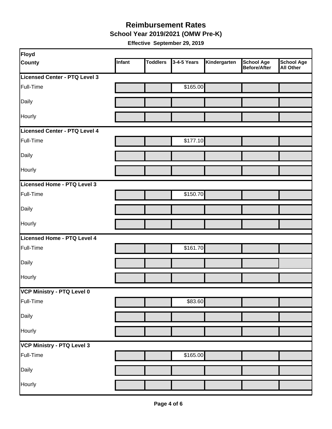#### **Reimbursement Rates School Year 2019/2021 (OMW Pre-K)**

| Floyd                         |        |                 |             |              |                                          |                         |
|-------------------------------|--------|-----------------|-------------|--------------|------------------------------------------|-------------------------|
| <b>County</b>                 | Infant | <b>Toddlers</b> | 3-4-5 Years | Kindergarten | <b>School Age</b><br><b>Before/After</b> | School Age<br>All Other |
| Licensed Center - PTQ Level 3 |        |                 |             |              |                                          |                         |
| Full-Time                     |        |                 | \$165.00    |              |                                          |                         |
| Daily                         |        |                 |             |              |                                          |                         |
| Hourly                        |        |                 |             |              |                                          |                         |
| Licensed Center - PTQ Level 4 |        |                 |             |              |                                          |                         |
| Full-Time                     |        |                 | \$177.10    |              |                                          |                         |
| Daily                         |        |                 |             |              |                                          |                         |
| Hourly                        |        |                 |             |              |                                          |                         |
| Licensed Home - PTQ Level 3   |        |                 |             |              |                                          |                         |
| Full-Time                     |        |                 | \$150.70    |              |                                          |                         |
| Daily                         |        |                 |             |              |                                          |                         |
| Hourly                        |        |                 |             |              |                                          |                         |
| Licensed Home - PTQ Level 4   |        |                 |             |              |                                          |                         |
| Full-Time                     |        |                 | \$161.70    |              |                                          |                         |
| Daily                         |        |                 |             |              |                                          |                         |
| Hourly                        |        |                 |             |              |                                          |                         |
| VCP Ministry - PTQ Level 0    |        |                 |             |              |                                          |                         |
| Full-Time                     |        |                 | \$83.60     |              |                                          |                         |
| Daily                         |        |                 |             |              |                                          |                         |
| Hourly                        |        |                 |             |              |                                          |                         |
| VCP Ministry - PTQ Level 3    |        |                 |             |              |                                          |                         |
| Full-Time                     |        |                 | \$165.00    |              |                                          |                         |
| Daily                         |        |                 |             |              |                                          |                         |
| Hourly                        |        |                 |             |              |                                          |                         |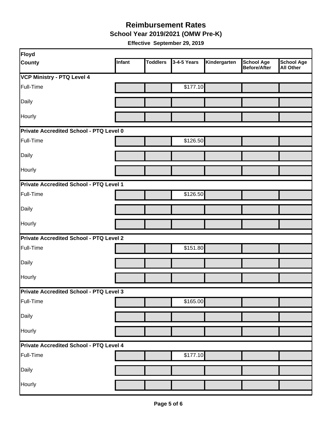**School Year 2019/2021 (OMW Pre-K)** 

| Floyd                                          |        |                 |             |              |                                          |                                       |  |  |  |
|------------------------------------------------|--------|-----------------|-------------|--------------|------------------------------------------|---------------------------------------|--|--|--|
| <b>County</b>                                  | Infant | <b>Toddlers</b> | 3-4-5 Years | Kindergarten | <b>School Age</b><br><b>Before/After</b> | <b>School Age</b><br><b>All Other</b> |  |  |  |
| <b>VCP Ministry - PTQ Level 4</b>              |        |                 |             |              |                                          |                                       |  |  |  |
| Full-Time                                      |        |                 | \$177.10    |              |                                          |                                       |  |  |  |
| Daily                                          |        |                 |             |              |                                          |                                       |  |  |  |
| Hourly                                         |        |                 |             |              |                                          |                                       |  |  |  |
| Private Accredited School - PTQ Level 0        |        |                 |             |              |                                          |                                       |  |  |  |
| Full-Time                                      |        |                 | \$126.50    |              |                                          |                                       |  |  |  |
| Daily                                          |        |                 |             |              |                                          |                                       |  |  |  |
| Hourly                                         |        |                 |             |              |                                          |                                       |  |  |  |
| Private Accredited School - PTQ Level 1        |        |                 |             |              |                                          |                                       |  |  |  |
| Full-Time                                      |        |                 | \$126.50    |              |                                          |                                       |  |  |  |
| Daily                                          |        |                 |             |              |                                          |                                       |  |  |  |
| Hourly                                         |        |                 |             |              |                                          |                                       |  |  |  |
| <b>Private Accredited School - PTQ Level 2</b> |        |                 |             |              |                                          |                                       |  |  |  |
| Full-Time                                      |        |                 | \$151.80    |              |                                          |                                       |  |  |  |
| Daily                                          |        |                 |             |              |                                          |                                       |  |  |  |
| Hourly                                         |        |                 |             |              |                                          |                                       |  |  |  |
| Private Accredited School - PTQ Level 3        |        |                 |             |              |                                          |                                       |  |  |  |
| Full-Time                                      |        |                 | \$165.00    |              |                                          |                                       |  |  |  |
| Daily                                          |        |                 |             |              |                                          |                                       |  |  |  |
| Hourly                                         |        |                 |             |              |                                          |                                       |  |  |  |
| Private Accredited School - PTQ Level 4        |        |                 |             |              |                                          |                                       |  |  |  |
| Full-Time                                      |        |                 | \$177.10    |              |                                          |                                       |  |  |  |
| Daily                                          |        |                 |             |              |                                          |                                       |  |  |  |
| Hourly                                         |        |                 |             |              |                                          |                                       |  |  |  |